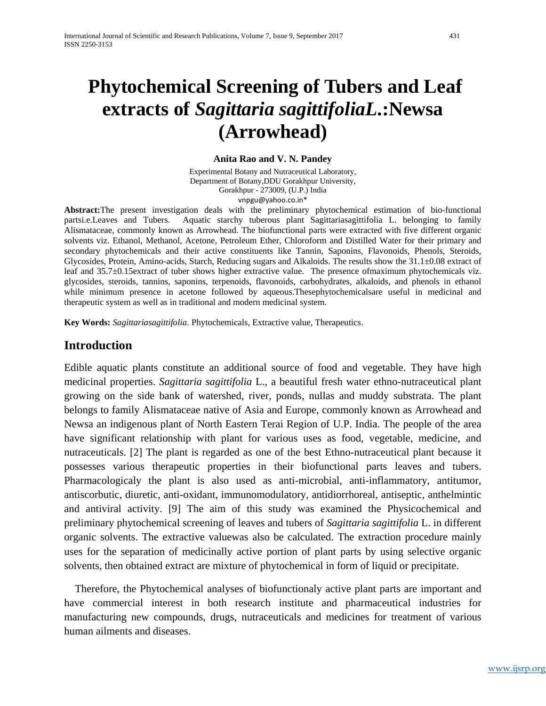# **Phytochemical Screening of Tubers and Leaf extracts of** *Sagittaria sagittifoliaL***.:Newsa (Arrowhead)**

#### **Anita Rao and V. N. Pandey**

Experimental Botany and Nutraceutical Laboratory, Department of Botany,DDU Gorakhpur University, Gorakhpur - 273009, (U.P.) India [vnpgu@yahoo.co.in\\*](mailto:vnpgu@yahoo.co.in*)

**Abstract:**The present investigation deals with the preliminary phytochemical estimation of bio-functional partsi.e.Leaves and Tubers. Aquatic starchy tuberous plant Sagittariasagittifolia L. belonging to family Alismataceae, commonly known as Arrowhead. The biofunctional parts were extracted with five different organic solvents viz. Ethanol, Methanol, Acetone, Petroleum Ether, Chloroform and Distilled Water for their primary and secondary phytochemicals and their active constituents like Tannin, Saponins, Flavonoids, Phenols, Steroids, Glycosides, Protein, Amino-acids, Starch, Reducing sugars and Alkaloids. The results show the 31.1±0.08 extract of leaf and 35.7±0.15extract of tuber shows higher extractive value. The presence ofmaximum phytochemicals viz. glycosides, steroids, tannins, saponins, terpenoids, flavonoids, carbohydrates, alkaloids, and phenols in ethanol while minimum presence in acetone followed by aqueous.Thesephytochemicalsare useful in medicinal and therapeutic system as well as in traditional and modern medicinal system.

**Key Words:** *Sagittariasagittifolia*. Phytochemicals, Extractive value, Therapeutics.

## **Introduction**

Edible aquatic plants constitute an additional source of food and vegetable. They have high medicinal properties. *Sagittaria sagittifolia* L., a beautiful fresh water ethno-nutraceutical plant growing on the side bank of watershed, river, ponds, nullas and muddy substrata. The plant belongs to family Alismataceae native of Asia and Europe, commonly known as Arrowhead and Newsa an indigenous plant of North Eastern Terai Region of U.P. India. The people of the area have significant relationship with plant for various uses as food, vegetable, medicine, and nutraceuticals. [2] The plant is regarded as one of the best Ethno-nutraceutical plant because it possesses various therapeutic properties in their biofunctional parts leaves and tubers. Pharmacologicaly the plant is also used as anti-microbial, anti-inflammatory, antitumor, antiscorbutic, diuretic, anti-oxidant, immunomodulatory, antidiorrhoreal, antiseptic, anthelmintic and antiviral activity. [9] The aim of this study was examined the Physicochemical and preliminary phytochemical screening of leaves and tubers of *Sagittaria sagittifolia* L. in different organic solvents. The extractive valuewas also be calculated. The extraction procedure mainly uses for the separation of medicinally active portion of plant parts by using selective organic solvents, then obtained extract are mixture of phytochemical in form of liquid or precipitate.

 Therefore, the Phytochemical analyses of biofunctionaly active plant parts are important and have commercial interest in both research institute and pharmaceutical industries for manufacturing new compounds, drugs, nutraceuticals and medicines for treatment of various human ailments and diseases.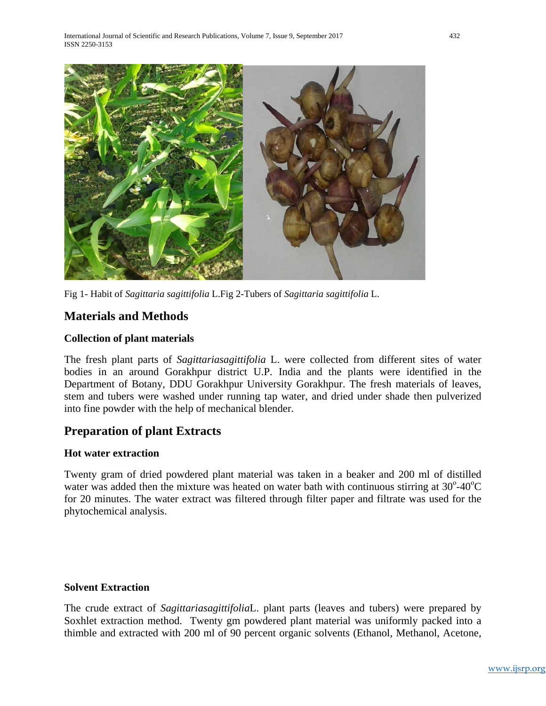

Fig 1- Habit of *Sagittaria sagittifolia* L.Fig 2-Tubers of *Sagittaria sagittifolia* L.

## **Materials and Methods**

#### **Collection of plant materials**

The fresh plant parts of *Sagittariasagittifolia* L. were collected from different sites of water bodies in an around Gorakhpur district U.P. India and the plants were identified in the Department of Botany, DDU Gorakhpur University Gorakhpur. The fresh materials of leaves, stem and tubers were washed under running tap water, and dried under shade then pulverized into fine powder with the help of mechanical blender.

# **Preparation of plant Extracts**

#### **Hot water extraction**

Twenty gram of dried powdered plant material was taken in a beaker and 200 ml of distilled water was added then the mixture was heated on water bath with continuous stirring at  $30^{\circ}$ -40 $^{\circ}$ C for 20 minutes. The water extract was filtered through filter paper and filtrate was used for the phytochemical analysis.

#### **Solvent Extraction**

The crude extract of *Sagittariasagittifolia*L. plant parts (leaves and tubers) were prepared by Soxhlet extraction method. Twenty gm powdered plant material was uniformly packed into a thimble and extracted with 200 ml of 90 percent organic solvents (Ethanol, Methanol, Acetone,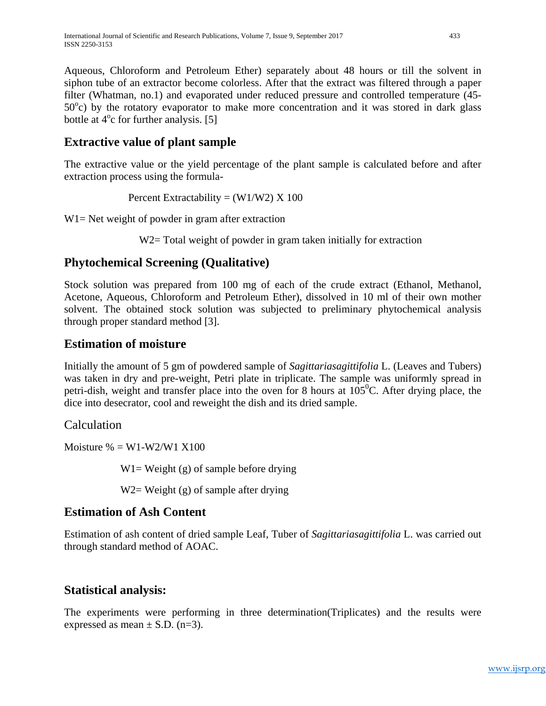Aqueous, Chloroform and Petroleum Ether) separately about 48 hours or till the solvent in siphon tube of an extractor become colorless. After that the extract was filtered through a paper filter (Whatman, no.1) and evaporated under reduced pressure and controlled temperature (45-  $50^{\circ}$ c) by the rotatory evaporator to make more concentration and it was stored in dark glass bottle at 4<sup>o</sup>c for further analysis. [5]

# **Extractive value of plant sample**

The extractive value or the yield percentage of the plant sample is calculated before and after extraction process using the formula-

Percent Extractability =  $(W1/W2)$  X 100

W<sub>1</sub> = Net weight of powder in gram after extraction

W<sub>2</sub> = Total weight of powder in gram taken initially for extraction

# **Phytochemical Screening (Qualitative)**

Stock solution was prepared from 100 mg of each of the crude extract (Ethanol, Methanol, Acetone, Aqueous, Chloroform and Petroleum Ether), dissolved in 10 ml of their own mother solvent. The obtained stock solution was subjected to preliminary phytochemical analysis through proper standard method [3].

# **Estimation of moisture**

Initially the amount of 5 gm of powdered sample of *Sagittariasagittifolia* L. (Leaves and Tubers) was taken in dry and pre-weight, Petri plate in triplicate. The sample was uniformly spread in petri-dish, weight and transfer place into the oven for 8 hours at  $105^{\circ}$ C. After drying place, the dice into desecrator, cool and reweight the dish and its dried sample.

## Calculation

Moisture  $\% = W1-W2/W1$  X100

 $W1=$  Weight (g) of sample before drying

W2= Weight  $(g)$  of sample after drying

# **Estimation of Ash Content**

Estimation of ash content of dried sample Leaf, Tuber of *Sagittariasagittifolia* L. was carried out through standard method of AOAC.

# **Statistical analysis:**

The experiments were performing in three determination(Triplicates) and the results were expressed as mean  $\pm$  S.D. (n=3).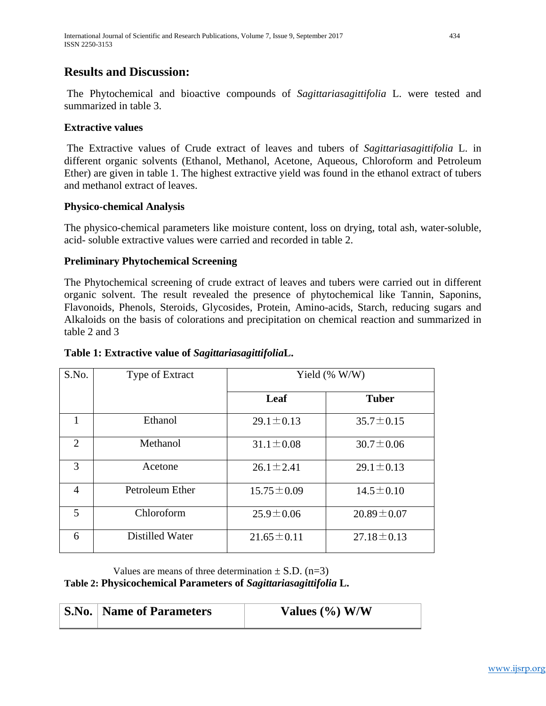## **Results and Discussion:**

The Phytochemical and bioactive compounds of *Sagittariasagittifolia* L. were tested and summarized in table 3.

#### **Extractive values**

The Extractive values of Crude extract of leaves and tubers of *Sagittariasagittifolia* L. in different organic solvents (Ethanol, Methanol, Acetone, Aqueous, Chloroform and Petroleum Ether) are given in table 1. The highest extractive yield was found in the ethanol extract of tubers and methanol extract of leaves.

#### **Physico-chemical Analysis**

The physico-chemical parameters like moisture content, loss on drying, total ash, water-soluble, acid- soluble extractive values were carried and recorded in table 2.

#### **Preliminary Phytochemical Screening**

The Phytochemical screening of crude extract of leaves and tubers were carried out in different organic solvent. The result revealed the presence of phytochemical like Tannin, Saponins, Flavonoids, Phenols, Steroids, Glycosides, Protein, Amino-acids, Starch, reducing sugars and Alkaloids on the basis of colorations and precipitation on chemical reaction and summarized in table 2 and 3

#### **Table 1: Extractive value of** *Sagittariasagittifolia***L.**

| S.No.          | Type of Extract | Yield $(\% W/W)$ |                  |  |  |  |
|----------------|-----------------|------------------|------------------|--|--|--|
|                |                 | Leaf             | <b>Tuber</b>     |  |  |  |
|                | Ethanol         | $29.1 \pm 0.13$  | $35.7 \pm 0.15$  |  |  |  |
| $\overline{2}$ | Methanol        | $31.1 \pm 0.08$  | $30.7 \pm 0.06$  |  |  |  |
| 3              | Acetone         | $26.1 \pm 2.41$  | $29.1 \pm 0.13$  |  |  |  |
| $\overline{4}$ | Petroleum Ether | $15.75 \pm 0.09$ | $14.5 \pm 0.10$  |  |  |  |
| 5              | Chloroform      | $25.9 \pm 0.06$  | $20.89 \pm 0.07$ |  |  |  |
| 6              | Distilled Water | $21.65 \pm 0.11$ | $27.18 \pm 0.13$ |  |  |  |

Values are means of three determination  $\pm$  S.D. (n=3)

**Table 2: Physicochemical Parameters of** *Sagittariasagittifolia* **L.**

| <b>S.No.   Name of Parameters</b> | Values $(\%$ ) W/W |
|-----------------------------------|--------------------|
|                                   |                    |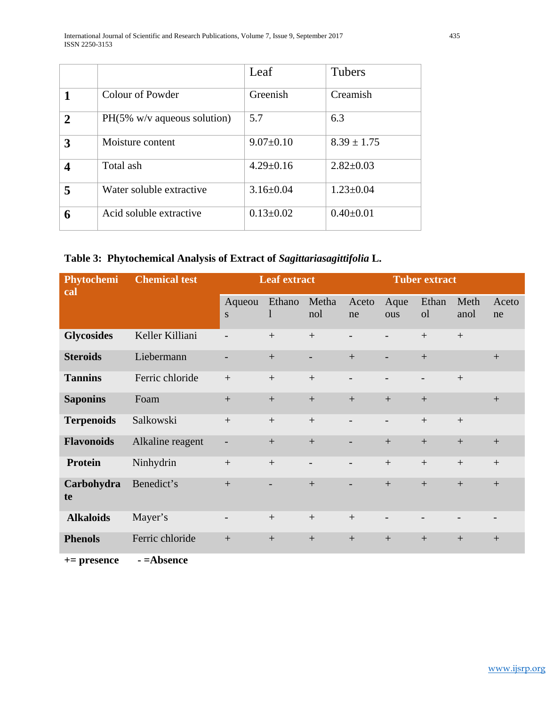|                |                                | Leaf            | <b>Tubers</b>   |
|----------------|--------------------------------|-----------------|-----------------|
|                | Colour of Powder               | Greenish        | Creamish        |
| $\overline{2}$ | $PH(5\%$ w/v aqueous solution) | 5.7             | 6.3             |
| 3              | Moisture content               | $9.07 \pm 0.10$ | $8.39 \pm 1.75$ |
|                | Total ash                      | $4.29 \pm 0.16$ | $2.82 \pm 0.03$ |
| 5              | Water soluble extractive       | $3.16 \pm 0.04$ | $1.23 \pm 0.04$ |
| 6              | Acid soluble extractive        | $0.13 \pm 0.02$ | $0.40 \pm 0.01$ |

## **Table 3: Phytochemical Analysis of Extract of** *Sagittariasagittifolia* **L.**

| Phytochemi<br>cal | <b>Chemical test</b> | <b>Leaf extract</b>      |                        |                          | <b>Tuber extract</b>     |                          |                         |              |             |
|-------------------|----------------------|--------------------------|------------------------|--------------------------|--------------------------|--------------------------|-------------------------|--------------|-------------|
|                   |                      | Aqueou<br><sub>S</sub>   | Ethano<br>$\mathbf{1}$ | Metha<br>nol             | Aceto<br>ne              | Aque<br>ous              | Ethan<br><sub>o</sub> l | Meth<br>anol | Aceto<br>ne |
| <b>Glycosides</b> | Keller Killiani      |                          | $+$                    | $+$                      |                          |                          | $+$                     | $+$          |             |
| <b>Steroids</b>   | Liebermann           | $\overline{\phantom{a}}$ | $+$                    | $\overline{\phantom{a}}$ | $+$                      | $\overline{a}$           | $+$                     |              | $+$         |
| <b>Tannins</b>    | Ferric chloride      | $+$                      | $^{+}$                 | $+$                      | $\overline{\phantom{a}}$ | $\overline{\phantom{a}}$ | $\qquad \qquad -$       | $+$          |             |
| <b>Saponins</b>   | Foam                 | $+$                      |                        |                          | $+$                      | $+$                      |                         |              | $+$         |
| <b>Terpenoids</b> | Salkowski            |                          | $+$                    | $+$                      | $\overline{\phantom{a}}$ | $\overline{\phantom{a}}$ | $+$                     | $+$          |             |
| <b>Flavonoids</b> | Alkaline reagent     |                          | $+$                    | $+$                      |                          | $+$                      | $+$                     | $+$          | $+$         |
| <b>Protein</b>    | Ninhydrin            | $+$                      | $+$                    | $\overline{\phantom{a}}$ | $\overline{\phantom{a}}$ | $+$                      | $+$                     | $+$          | $+$         |
| Carbohydra<br>te  | Benedict's           | $+$                      |                        | $+$                      | $\overline{\phantom{a}}$ | $+$                      | $+$                     | $+$          | $+$         |
| <b>Alkaloids</b>  | Mayer's              | $\overline{\phantom{a}}$ | $+$                    | $+$                      | $+$                      | $\overline{\phantom{a}}$ |                         |              |             |
| <b>Phenols</b>    | Ferric chloride      | $+$                      | $+$                    | $+$                      | $+$                      | $+$                      | $+$                     | $+$          | $+$         |

**+= presence - =Absence**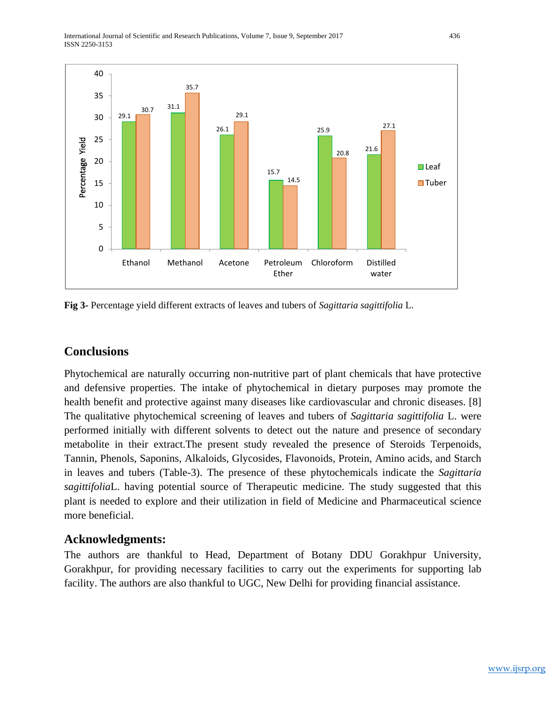International Journal of Scientific and Research Publications, Volume 7, Issue 9, September 2017 436 ISSN 2250-3153



**Fig 3-** Percentage yield different extracts of leaves and tubers of *Sagittaria sagittifolia* L.

## **Conclusions**

Phytochemical are naturally occurring non-nutritive part of plant chemicals that have protective and defensive properties. The intake of phytochemical in dietary purposes may promote the health benefit and protective against many diseases like cardiovascular and chronic diseases. [8] The qualitative phytochemical screening of leaves and tubers of *Sagittaria sagittifolia* L. were performed initially with different solvents to detect out the nature and presence of secondary metabolite in their extract.The present study revealed the presence of Steroids Terpenoids, Tannin, Phenols, Saponins, Alkaloids, Glycosides, Flavonoids, Protein, Amino acids, and Starch in leaves and tubers (Table-3). The presence of these phytochemicals indicate the *Sagittaria sagittifolia*L. having potential source of Therapeutic medicine. The study suggested that this plant is needed to explore and their utilization in field of Medicine and Pharmaceutical science more beneficial.

## **Acknowledgments:**

The authors are thankful to Head, Department of Botany DDU Gorakhpur University, Gorakhpur, for providing necessary facilities to carry out the experiments for supporting lab facility. The authors are also thankful to UGC, New Delhi for providing financial assistance.